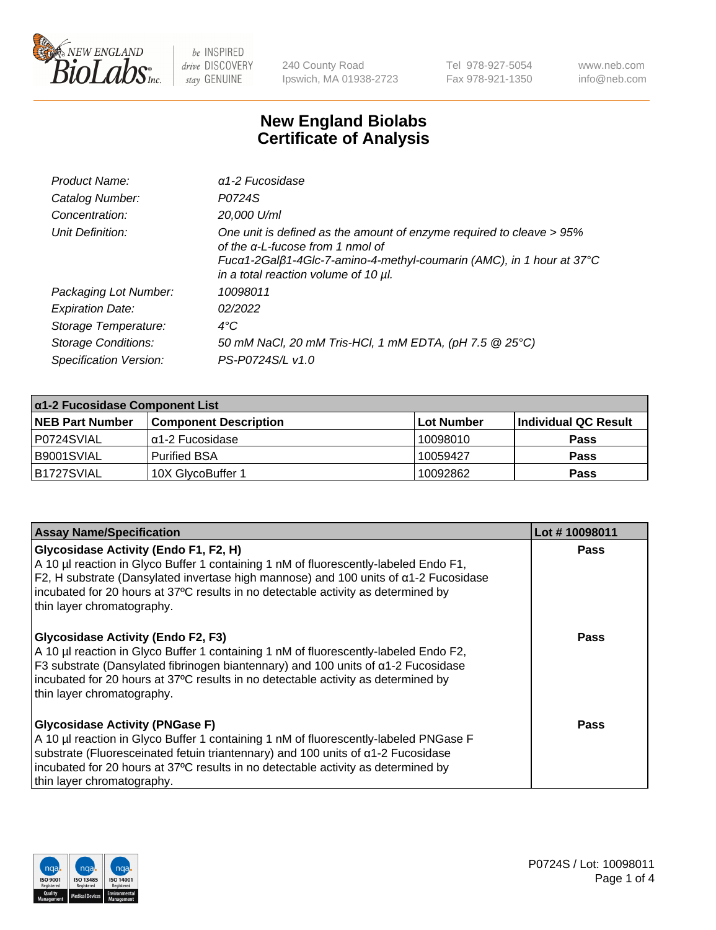

240 County Road Ipswich, MA 01938-2723 Tel 978-927-5054 Fax 978-921-1350 www.neb.com info@neb.com

## **New England Biolabs Certificate of Analysis**

| Product Name:              | $\alpha$ 1-2 Fucosidase                                                                                                                                                                                                               |
|----------------------------|---------------------------------------------------------------------------------------------------------------------------------------------------------------------------------------------------------------------------------------|
| Catalog Number:            | P0724S                                                                                                                                                                                                                                |
| Concentration:             | 20,000 U/ml                                                                                                                                                                                                                           |
| Unit Definition:           | One unit is defined as the amount of enzyme required to cleave > 95%<br>of the $\alpha$ -L-fucose from 1 nmol of<br>Fucα1-2Galβ1-4Glc-7-amino-4-methyl-coumarin (AMC), in 1 hour at 37°C<br>in a total reaction volume of 10 $\mu$ l. |
| Packaging Lot Number:      | 10098011                                                                                                                                                                                                                              |
| <b>Expiration Date:</b>    | 02/2022                                                                                                                                                                                                                               |
| Storage Temperature:       | $4^{\circ}$ C                                                                                                                                                                                                                         |
| <b>Storage Conditions:</b> | 50 mM NaCl, 20 mM Tris-HCl, 1 mM EDTA, (pH 7.5 @ 25°C)                                                                                                                                                                                |
| Specification Version:     | PS-P0724S/L v1.0                                                                                                                                                                                                                      |

| $\alpha$ 1-2 Fucosidase Component List |                              |            |                      |  |
|----------------------------------------|------------------------------|------------|----------------------|--|
| <b>NEB Part Number</b>                 | <b>Component Description</b> | Lot Number | Individual QC Result |  |
| P0724SVIAL                             | $\alpha$ 1-2 Fucosidase      | 10098010   | <b>Pass</b>          |  |
| B9001SVIAL                             | <b>Purified BSA</b>          | 10059427   | <b>Pass</b>          |  |
| B1727SVIAL                             | 10X GlycoBuffer 1            | 10092862   | <b>Pass</b>          |  |

| <b>Assay Name/Specification</b>                                                                                                                                                                                                                                                                                                                   | Lot #10098011 |
|---------------------------------------------------------------------------------------------------------------------------------------------------------------------------------------------------------------------------------------------------------------------------------------------------------------------------------------------------|---------------|
| Glycosidase Activity (Endo F1, F2, H)<br>A 10 µl reaction in Glyco Buffer 1 containing 1 nM of fluorescently-labeled Endo F1,<br>F2, H substrate (Dansylated invertase high mannose) and 100 units of a1-2 Fucosidase<br>incubated for 20 hours at 37°C results in no detectable activity as determined by<br>thin layer chromatography.          | <b>Pass</b>   |
| <b>Glycosidase Activity (Endo F2, F3)</b><br>A 10 µl reaction in Glyco Buffer 1 containing 1 nM of fluorescently-labeled Endo F2,<br>F3 substrate (Dansylated fibrinogen biantennary) and 100 units of $\alpha$ 1-2 Fucosidase<br>incubated for 20 hours at 37°C results in no detectable activity as determined by<br>thin layer chromatography. | Pass          |
| <b>Glycosidase Activity (PNGase F)</b><br>A 10 µl reaction in Glyco Buffer 1 containing 1 nM of fluorescently-labeled PNGase F<br>substrate (Fluoresceinated fetuin triantennary) and 100 units of $\alpha$ 1-2 Fucosidase<br>incubated for 20 hours at 37°C results in no detectable activity as determined by<br>thin layer chromatography.     | <b>Pass</b>   |

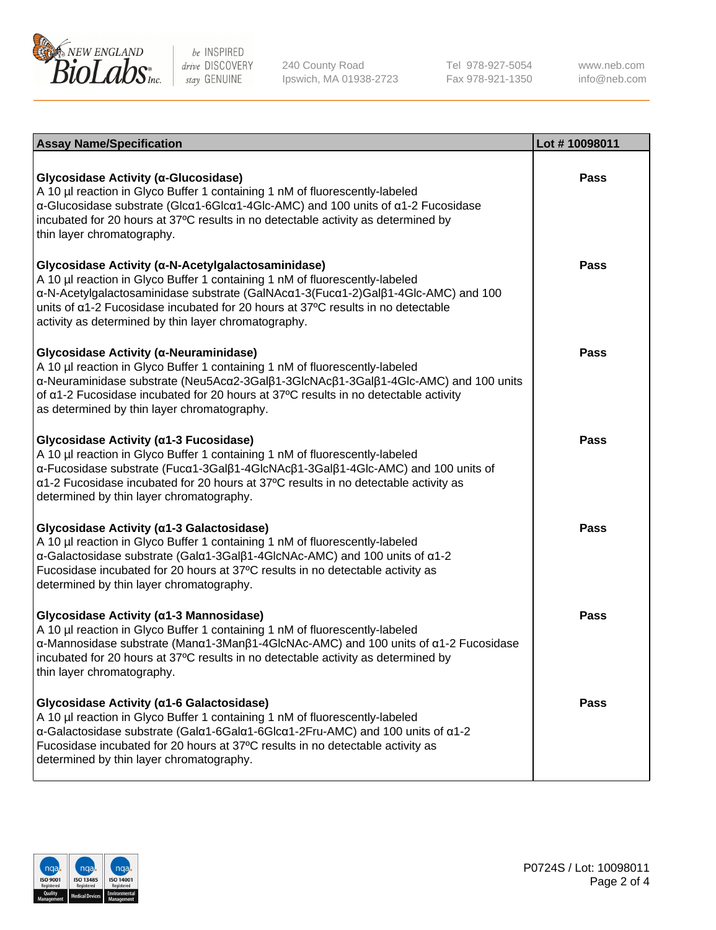

240 County Road Ipswich, MA 01938-2723 Tel 978-927-5054 Fax 978-921-1350

www.neb.com info@neb.com

| <b>Assay Name/Specification</b>                                                                                                                                                                                                                                                                                                                                    | Lot #10098011 |
|--------------------------------------------------------------------------------------------------------------------------------------------------------------------------------------------------------------------------------------------------------------------------------------------------------------------------------------------------------------------|---------------|
| Glycosidase Activity (α-Glucosidase)<br>A 10 µl reaction in Glyco Buffer 1 containing 1 nM of fluorescently-labeled<br>α-Glucosidase substrate (Glcα1-6Glcα1-4Glc-AMC) and 100 units of α1-2 Fucosidase<br>incubated for 20 hours at 37°C results in no detectable activity as determined by<br>thin layer chromatography.                                         | Pass          |
| Glycosidase Activity (α-N-Acetylgalactosaminidase)<br>A 10 µl reaction in Glyco Buffer 1 containing 1 nM of fluorescently-labeled<br>α-N-Acetylgalactosaminidase substrate (GalNAcα1-3(Fucα1-2)Galβ1-4Glc-AMC) and 100<br>units of a1-2 Fucosidase incubated for 20 hours at 37°C results in no detectable<br>activity as determined by thin layer chromatography. | Pass          |
| Glycosidase Activity (α-Neuraminidase)<br>A 10 µl reaction in Glyco Buffer 1 containing 1 nM of fluorescently-labeled<br>α-Neuraminidase substrate (Neu5Acα2-3Galβ1-3GlcNAcβ1-3Galβ1-4Glc-AMC) and 100 units<br>of a1-2 Fucosidase incubated for 20 hours at 37°C results in no detectable activity<br>as determined by thin layer chromatography.                 | <b>Pass</b>   |
| Glycosidase Activity (α1-3 Fucosidase)<br>A 10 µl reaction in Glyco Buffer 1 containing 1 nM of fluorescently-labeled<br>α-Fucosidase substrate (Fucα1-3Galβ1-4GlcNAcβ1-3Galβ1-4Glc-AMC) and 100 units of<br>a1-2 Fucosidase incubated for 20 hours at 37°C results in no detectable activity as<br>determined by thin layer chromatography.                       | <b>Pass</b>   |
| Glycosidase Activity (α1-3 Galactosidase)<br>A 10 µl reaction in Glyco Buffer 1 containing 1 nM of fluorescently-labeled<br>α-Galactosidase substrate (Galα1-3Galβ1-4GlcNAc-AMC) and 100 units of α1-2<br>Fucosidase incubated for 20 hours at 37°C results in no detectable activity as<br>determined by thin layer chromatography.                               | <b>Pass</b>   |
| Glycosidase Activity (a1-3 Mannosidase)<br>A 10 µl reaction in Glyco Buffer 1 containing 1 nM of fluorescently-labeled<br>α-Mannosidase substrate (Manα1-3Manβ1-4GlcNAc-AMC) and 100 units of α1-2 Fucosidase<br>incubated for 20 hours at 37°C results in no detectable activity as determined by<br>thin layer chromatography.                                   | <b>Pass</b>   |
| Glycosidase Activity (α1-6 Galactosidase)<br>A 10 µl reaction in Glyco Buffer 1 containing 1 nM of fluorescently-labeled<br>α-Galactosidase substrate (Galα1-6Galα1-6Glcα1-2Fru-AMC) and 100 units of α1-2<br>Fucosidase incubated for 20 hours at 37°C results in no detectable activity as<br>determined by thin layer chromatography.                           | Pass          |

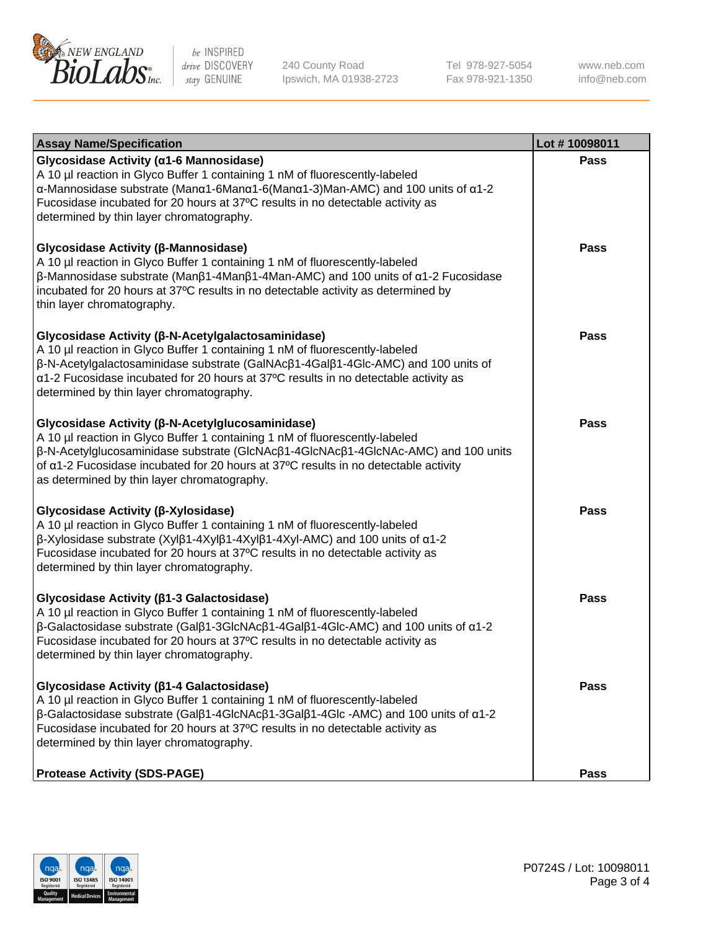

240 County Road Ipswich, MA 01938-2723 Tel 978-927-5054 Fax 978-921-1350 www.neb.com info@neb.com

| <b>Assay Name/Specification</b>                                                                                                                                                                                                                                                                                                                                                     | Lot #10098011 |
|-------------------------------------------------------------------------------------------------------------------------------------------------------------------------------------------------------------------------------------------------------------------------------------------------------------------------------------------------------------------------------------|---------------|
| Glycosidase Activity (a1-6 Mannosidase)<br>A 10 µl reaction in Glyco Buffer 1 containing 1 nM of fluorescently-labeled<br>α-Mannosidase substrate (Manα1-6Manα1-6(Manα1-3)Man-AMC) and 100 units of α1-2<br>Fucosidase incubated for 20 hours at 37°C results in no detectable activity as<br>determined by thin layer chromatography.                                              | <b>Pass</b>   |
| Glycosidase Activity (β-Mannosidase)<br>A 10 µl reaction in Glyco Buffer 1 containing 1 nM of fluorescently-labeled<br>$\beta$ -Mannosidase substrate (Man $\beta$ 1-4Man $\beta$ 1-4Man-AMC) and 100 units of $\alpha$ 1-2 Fucosidase<br>incubated for 20 hours at 37°C results in no detectable activity as determined by<br>thin layer chromatography.                           | <b>Pass</b>   |
| Glycosidase Activity (β-N-Acetylgalactosaminidase)<br>A 10 µl reaction in Glyco Buffer 1 containing 1 nM of fluorescently-labeled<br>β-N-Acetylgalactosaminidase substrate (GalNAcβ1-4Galβ1-4Glc-AMC) and 100 units of<br>α1-2 Fucosidase incubated for 20 hours at 37°C results in no detectable activity as<br>determined by thin layer chromatography.                           | <b>Pass</b>   |
| Glycosidase Activity (β-N-Acetylglucosaminidase)<br>A 10 µl reaction in Glyco Buffer 1 containing 1 nM of fluorescently-labeled<br>β-N-Acetylglucosaminidase substrate (GlcNAcβ1-4GlcNAcβ1-4GlcNAc-AMC) and 100 units<br>of a1-2 Fucosidase incubated for 20 hours at 37°C results in no detectable activity<br>as determined by thin layer chromatography.                         | Pass          |
| Glycosidase Activity (β-Xylosidase)<br>A 10 µl reaction in Glyco Buffer 1 containing 1 nM of fluorescently-labeled<br>$\beta$ -Xylosidase substrate (Xylβ1-4Xylβ1-4Xylβ1-4Xyl-AMC) and 100 units of $\alpha$ 1-2<br>Fucosidase incubated for 20 hours at 37°C results in no detectable activity as<br>determined by thin layer chromatography.                                      | <b>Pass</b>   |
| Glycosidase Activity (β1-3 Galactosidase)<br>A 10 µl reaction in Glyco Buffer 1 containing 1 nM of fluorescently-labeled<br>$\beta$ -Galactosidase substrate (Gal $\beta$ 1-3GlcNAc $\beta$ 1-4Gal $\beta$ 1-4Glc-AMC) and 100 units of $\alpha$ 1-2<br>Fucosidase incubated for 20 hours at 37°C results in no detectable activity as<br>determined by thin layer chromatography.  | <b>Pass</b>   |
| Glycosidase Activity (β1-4 Galactosidase)<br>A 10 µl reaction in Glyco Buffer 1 containing 1 nM of fluorescently-labeled<br>$\beta$ -Galactosidase substrate (Gal $\beta$ 1-4GlcNAc $\beta$ 1-3Gal $\beta$ 1-4Glc -AMC) and 100 units of $\alpha$ 1-2<br>Fucosidase incubated for 20 hours at 37°C results in no detectable activity as<br>determined by thin layer chromatography. | Pass          |
| <b>Protease Activity (SDS-PAGE)</b>                                                                                                                                                                                                                                                                                                                                                 | Pass          |